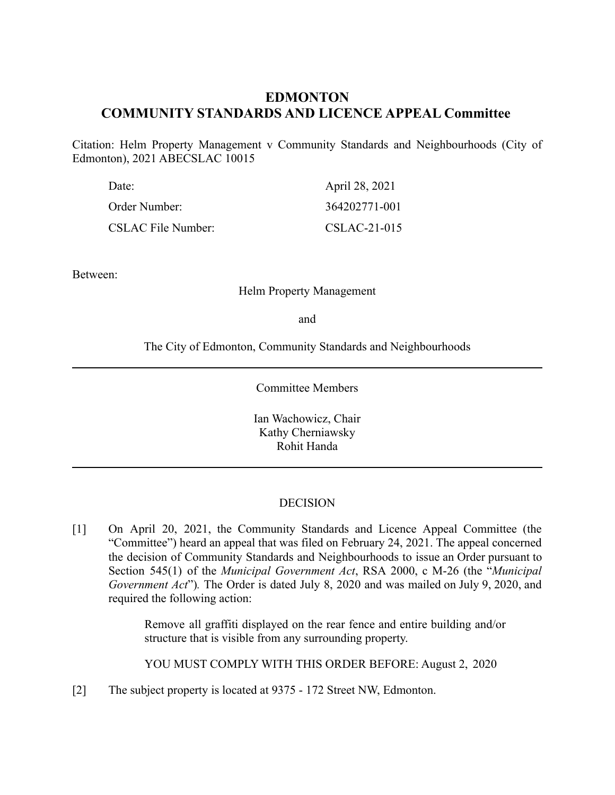# **EDMONTON COMMUNITY STANDARDS AND LICENCE APPEAL Committee**

Citation: Helm Property Management v Community Standards and Neighbourhoods (City of Edmonton), 2021 ABECSLAC 10015

| Date:                     | April 28, 2021 |
|---------------------------|----------------|
| Order Number:             | 364202771-001  |
| <b>CSLAC File Number:</b> | CSLAC-21-015   |

Between:

#### Helm Property Management

and

The City of Edmonton, Community Standards and Neighbourhoods

Committee Members

Ian Wachowicz, Chair Kathy Cherniawsky Rohit Handa

### DECISION

[1] On April 20, 2021, the Community Standards and Licence Appeal Committee (the "Committee") heard an appeal that was filed on February 24, 2021. The appeal concerned the decision of Community Standards and Neighbourhoods to issue an Order pursuant to Section 545(1) of the *Municipal Government Act*, RSA 2000, c M-26 (the "*Municipal Government Act*")*.* The Order is dated July 8, 2020 and was mailed on July 9, 2020, and required the following action:

> Remove all graffiti displayed on the rear fence and entire building and/or structure that is visible from any surrounding property.

YOU MUST COMPLY WITH THIS ORDER BEFORE: August 2, 2020

[2] The subject property is located at 9375 - 172 Street NW, Edmonton.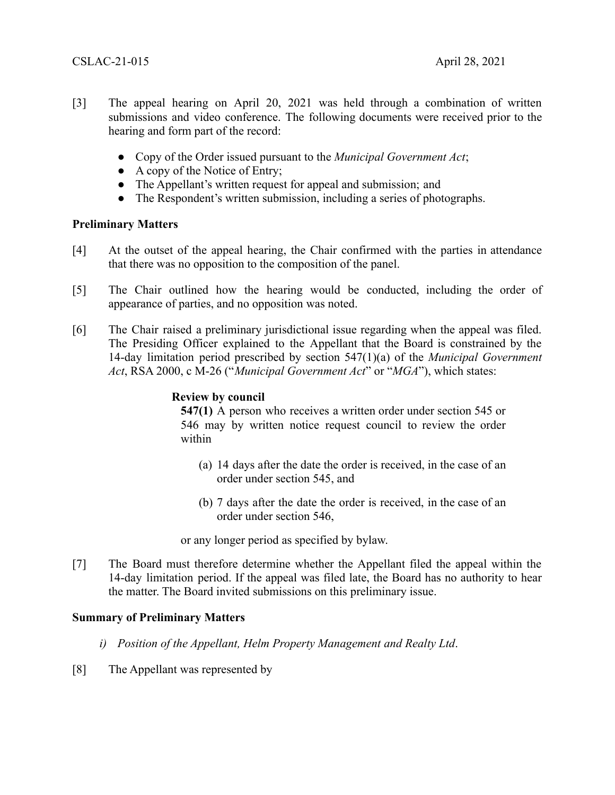- [3] The appeal hearing on April 20, 2021 was held through a combination of written submissions and video conference. The following documents were received prior to the hearing and form part of the record:
	- Copy of the Order issued pursuant to the *Municipal Government Act*;
	- A copy of the Notice of Entry;
	- The Appellant's written request for appeal and submission; and
	- The Respondent's written submission, including a series of photographs.

### **Preliminary Matters**

- [4] At the outset of the appeal hearing, the Chair confirmed with the parties in attendance that there was no opposition to the composition of the panel.
- [5] The Chair outlined how the hearing would be conducted, including the order of appearance of parties, and no opposition was noted.
- [6] The Chair raised a preliminary jurisdictional issue regarding when the appeal was filed. The Presiding Officer explained to the Appellant that the Board is constrained by the 14-day limitation period prescribed by section 547(1)(a) of the *Municipal Government Act*, RSA 2000, c M-26 ("*Municipal Government Act*" or "*MGA*"), which states:

### **Review by council**

**547(1)** A person who receives a written order under section 545 or 546 may by written notice request council to review the order within

- (a) 14 days after the date the order is received, in the case of an order under section 545, and
- (b) 7 days after the date the order is received, in the case of an order under section 546,

or any longer period as specified by bylaw.

[7] The Board must therefore determine whether the Appellant filed the appeal within the 14-day limitation period. If the appeal was filed late, the Board has no authority to hear the matter. The Board invited submissions on this preliminary issue.

## **Summary of Preliminary Matters**

- *i) Position of the Appellant, Helm Property Management and Realty Ltd*.
- [8] The Appellant was represented by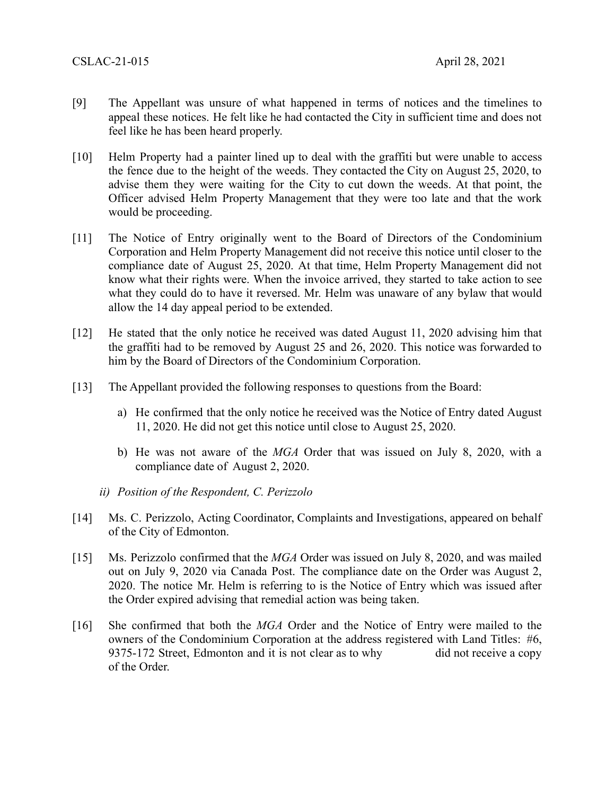- [9] The Appellant was unsure of what happened in terms of notices and the timelines to appeal these notices. He felt like he had contacted the City in sufficient time and does not feel like he has been heard properly.
- [10] Helm Property had a painter lined up to deal with the graffiti but were unable to access the fence due to the height of the weeds. They contacted the City on August 25, 2020, to advise them they were waiting for the City to cut down the weeds. At that point, the Officer advised Helm Property Management that they were too late and that the work would be proceeding.
- [11] The Notice of Entry originally went to the Board of Directors of the Condominium Corporation and Helm Property Management did not receive this notice until closer to the compliance date of August 25, 2020. At that time, Helm Property Management did not know what their rights were. When the invoice arrived, they started to take action to see what they could do to have it reversed. Mr. Helm was unaware of any bylaw that would allow the 14 day appeal period to be extended.
- [12] He stated that the only notice he received was dated August 11, 2020 advising him that the graffiti had to be removed by August 25 and 26, 2020. This notice was forwarded to him by the Board of Directors of the Condominium Corporation.
- [13] The Appellant provided the following responses to questions from the Board:
	- a) He confirmed that the only notice he received was the Notice of Entry dated August 11, 2020. He did not get this notice until close to August 25, 2020.
	- b) He was not aware of the *MGA* Order that was issued on July 8, 2020, with a compliance date of August 2, 2020.
	- *ii) Position of the Respondent, C. Perizzolo*
- [14] Ms. C. Perizzolo, Acting Coordinator, Complaints and Investigations, appeared on behalf of the City of Edmonton.
- [15] Ms. Perizzolo confirmed that the *MGA* Order was issued on July 8, 2020, and was mailed out on July 9, 2020 via Canada Post. The compliance date on the Order was August 2, 2020. The notice Mr. Helm is referring to is the Notice of Entry which was issued after the Order expired advising that remedial action was being taken.
- [16] She confirmed that both the *MGA* Order and the Notice of Entry were mailed to the owners of the Condominium Corporation at the address registered with Land Titles: #6, 9375-172 Street, Edmonton and it is not clear as to why did not receive a copy of the Order.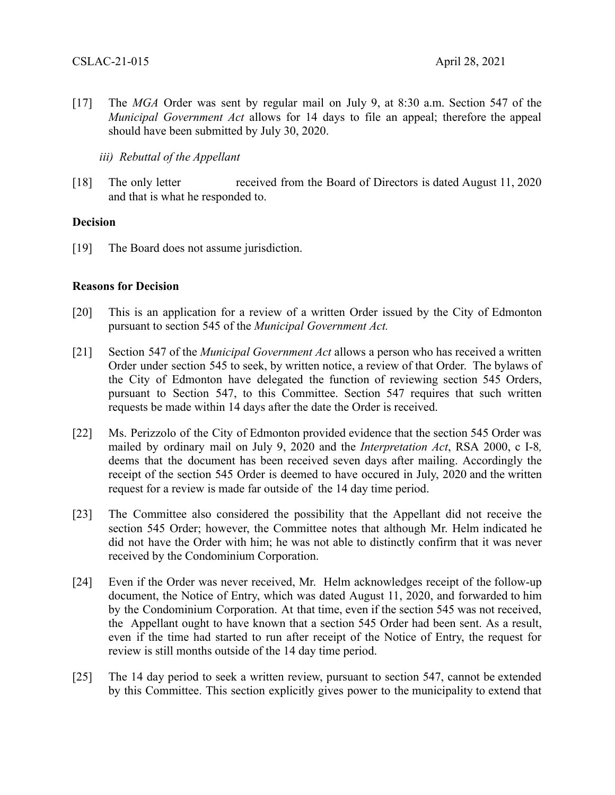[17] The *MGA* Order was sent by regular mail on July 9, at 8:30 a.m. Section 547 of the *Municipal Government Act* allows for 14 days to file an appeal; therefore the appeal should have been submitted by July 30, 2020.

*iii) Rebuttal of the Appellant*

[18] The only letter received from the Board of Directors is dated August 11, 2020 and that is what he responded to.

### **Decision**

[19] The Board does not assume jurisdiction.

### **Reasons for Decision**

- [20] This is an application for a review of a written Order issued by the City of Edmonton pursuant to section 545 of the *Municipal Government Act.*
- [21] Section 547 of the *Municipal Government Act* allows a person who has received a written Order under section 545 to seek, by written notice, a review of that Order. The bylaws of the City of Edmonton have delegated the function of reviewing section 545 Orders, pursuant to Section 547, to this Committee. Section 547 requires that such written requests be made within 14 days after the date the Order is received.
- [22] Ms. Perizzolo of the City of Edmonton provided evidence that the section 545 Order was mailed by ordinary mail on July 9, 2020 and the *Interpretation Act*, RSA 2000, c I-8*,* deems that the document has been received seven days after mailing. Accordingly the receipt of the section 545 Order is deemed to have occured in July, 2020 and the written request for a review is made far outside of the 14 day time period.
- [23] The Committee also considered the possibility that the Appellant did not receive the section 545 Order; however, the Committee notes that although Mr. Helm indicated he did not have the Order with him; he was not able to distinctly confirm that it was never received by the Condominium Corporation.
- [24] Even if the Order was never received, Mr. Helm acknowledges receipt of the follow-up document, the Notice of Entry, which was dated August 11, 2020, and forwarded to him by the Condominium Corporation. At that time, even if the section 545 was not received, the Appellant ought to have known that a section 545 Order had been sent. As a result, even if the time had started to run after receipt of the Notice of Entry, the request for review is still months outside of the 14 day time period.
- [25] The 14 day period to seek a written review, pursuant to section 547, cannot be extended by this Committee. This section explicitly gives power to the municipality to extend that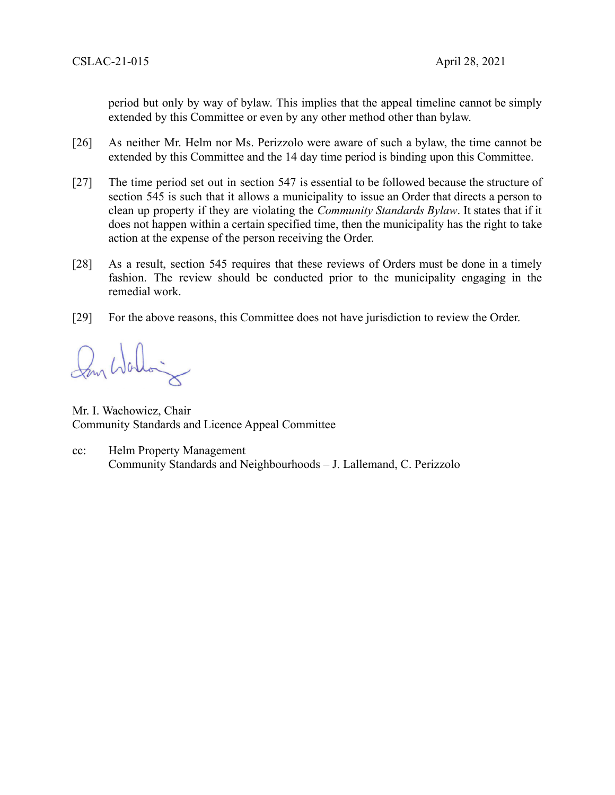period but only by way of bylaw. This implies that the appeal timeline cannot be simply extended by this Committee or even by any other method other than bylaw.

- [26] As neither Mr. Helm nor Ms. Perizzolo were aware of such a bylaw, the time cannot be extended by this Committee and the 14 day time period is binding upon this Committee.
- [27] The time period set out in section 547 is essential to be followed because the structure of section 545 is such that it allows a municipality to issue an Order that directs a person to clean up property if they are violating the *Community Standards Bylaw*. It states that if it does not happen within a certain specified time, then the municipality has the right to take action at the expense of the person receiving the Order.
- [28] As a result, section 545 requires that these reviews of Orders must be done in a timely fashion. The review should be conducted prior to the municipality engaging in the remedial work.
- [29] For the above reasons, this Committee does not have jurisdiction to review the Order.

Mr. I. Wachowicz, Chair Community Standards and Licence Appeal Committee

cc: Helm Property Management Community Standards and Neighbourhoods – J. Lallemand, C. Perizzolo